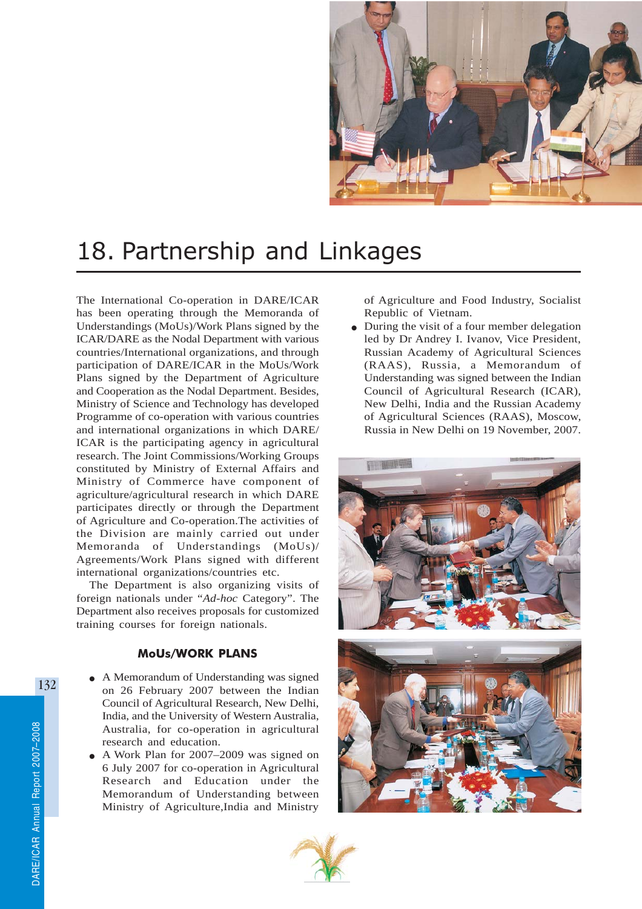

# 18. Partnership and Linkages

The International Co-operation in DARE/ICAR has been operating through the Memoranda of Understandings (MoUs)/Work Plans signed by the ICAR/DARE as the Nodal Department with various countries/International organizations, and through participation of DARE/ICAR in the MoUs/Work Plans signed by the Department of Agriculture and Cooperation as the Nodal Department. Besides, Ministry of Science and Technology has developed Programme of co-operation with various countries and international organizations in which DARE/ ICAR is the participating agency in agricultural research. The Joint Commissions/Working Groups constituted by Ministry of External Affairs and Ministry of Commerce have component of agriculture/agricultural research in which DARE participates directly or through the Department of Agriculture and Co-operation.The activities of the Division are mainly carried out under Memoranda of Understandings (MoUs)/ Agreements/Work Plans signed with different international organizations/countries etc.

The Department is also organizing visits of foreign nationals under "*Ad-hoc* Category". The Department also receives proposals for customized training courses for foreign nationals.

#### MoUs/WORK PLANS

- A Memorandum of Understanding was signed on 26 February 2007 between the Indian Council of Agricultural Research, New Delhi, India, and the University of Western Australia, Australia, for co-operation in agricultural research and education.
- A Work Plan for 2007–2009 was signed on 6 July 2007 for co-operation in Agricultural Research and Education under the Memorandum of Understanding between Ministry of Agriculture,India and Ministry

of Agriculture and Food Industry, Socialist Republic of Vietnam.

During the visit of a four member delegation led by Dr Andrey I. Ivanov, Vice President, Russian Academy of Agricultural Sciences (RAAS), Russia, a Memorandum of Understanding was signed between the Indian Council of Agricultural Research (ICAR), New Delhi, India and the Russian Academy of Agricultural Sciences (RAAS), Moscow, Russia in New Delhi on 19 November, 2007.





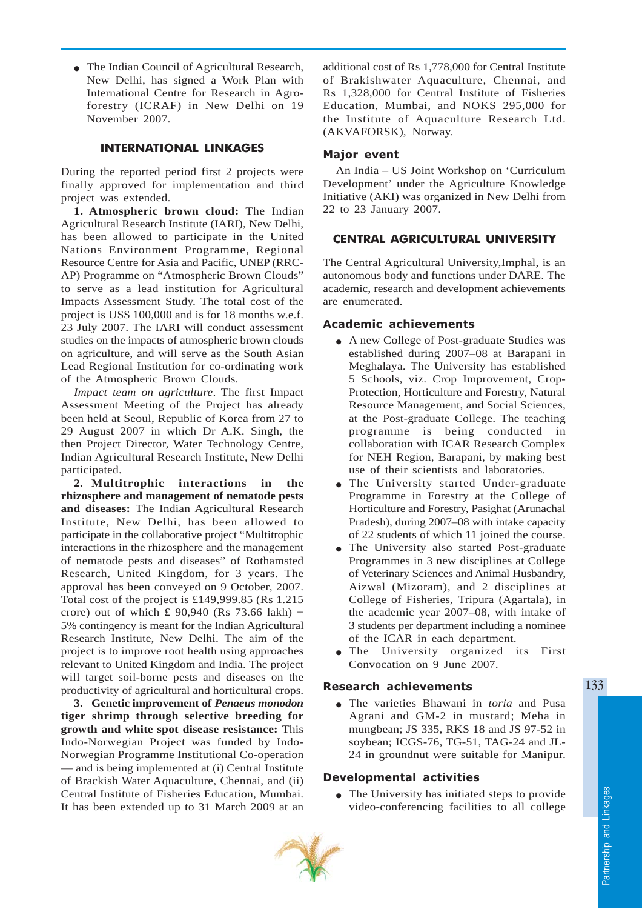• The Indian Council of Agricultural Research, New Delhi, has signed a Work Plan with International Centre for Research in Agroforestry (ICRAF) in New Delhi on 19 November 2007.

### INTERNATIONAL LINKAGES

During the reported period first 2 projects were finally approved for implementation and third project was extended.

**1. Atmospheric brown cloud:** The Indian Agricultural Research Institute (IARI), New Delhi, has been allowed to participate in the United Nations Environment Programme, Regional Resource Centre for Asia and Pacific, UNEP (RRC-AP) Programme on "Atmospheric Brown Clouds" to serve as a lead institution for Agricultural Impacts Assessment Study. The total cost of the project is US\$ 100,000 and is for 18 months w.e.f. 23 July 2007. The IARI will conduct assessment studies on the impacts of atmospheric brown clouds on agriculture, and will serve as the South Asian Lead Regional Institution for co-ordinating work of the Atmospheric Brown Clouds.

*Impact team on agriculture*. The first Impact Assessment Meeting of the Project has already been held at Seoul, Republic of Korea from 27 to 29 August 2007 in which Dr A.K. Singh, the then Project Director, Water Technology Centre, Indian Agricultural Research Institute, New Delhi participated.

**2. Multitrophic interactions in the rhizosphere and management of nematode pests and diseases:** The Indian Agricultural Research Institute, New Delhi, has been allowed to participate in the collaborative project "Multitrophic interactions in the rhizosphere and the management of nematode pests and diseases" of Rothamsted Research, United Kingdom, for 3 years. The approval has been conveyed on 9 October, 2007. Total cost of the project is £149,999.85 (Rs 1.215 crore) out of which £ 90,940 (Rs 73.66 lakh) + 5% contingency is meant for the Indian Agricultural Research Institute, New Delhi. The aim of the project is to improve root health using approaches relevant to United Kingdom and India. The project will target soil-borne pests and diseases on the productivity of agricultural and horticultural crops.

**3. Genetic improvement of** *Penaeus monodon* **tiger shrimp through selective breeding for growth and white spot disease resistance:** This Indo-Norwegian Project was funded by Indo-Norwegian Programme Institutional Co-operation — and is being implemented at (i) Central Institute of Brackish Water Aquaculture, Chennai, and (ii) Central Institute of Fisheries Education, Mumbai. It has been extended up to 31 March 2009 at an additional cost of Rs 1,778,000 for Central Institute of Brakishwater Aquaculture, Chennai, and Rs 1,328,000 for Central Institute of Fisheries Education, Mumbai, and NOKS 295,000 for the Institute of Aquaculture Research Ltd. (AKVAFORSK), Norway.

#### Major event

An India – US Joint Workshop on 'Curriculum Development' under the Agriculture Knowledge Initiative (AKI) was organized in New Delhi from 22 to 23 January 2007.

## CENTRAL AGRICULTURAL UNIVERSITY

The Central Agricultural University,Imphal, is an autonomous body and functions under DARE. The academic, research and development achievements are enumerated.

#### Academic achievements

- A new College of Post-graduate Studies was established during 2007–08 at Barapani in Meghalaya. The University has established 5 Schools, viz. Crop Improvement, Crop-Protection, Horticulture and Forestry, Natural Resource Management, and Social Sciences, at the Post-graduate College. The teaching programme is being conducted in collaboration with ICAR Research Complex for NEH Region, Barapani, by making best use of their scientists and laboratories.
- The University started Under-graduate Programme in Forestry at the College of Horticulture and Forestry, Pasighat (Arunachal Pradesh), during 2007–08 with intake capacity of 22 students of which 11 joined the course.
- The University also started Post-graduate Programmes in 3 new disciplines at College of Veterinary Sciences and Animal Husbandry, Aizwal (Mizoram), and 2 disciplines at College of Fisheries, Tripura (Agartala), in the academic year 2007–08, with intake of 3 students per department including a nominee of the ICAR in each department.
- The University organized its First Convocation on 9 June 2007.

#### Research achievements

● The varieties Bhawani in *toria* and Pusa Agrani and GM-2 in mustard; Meha in mungbean; JS 335, RKS 18 and JS 97-52 in soybean; ICGS-76, TG-51, TAG-24 and JL-24 in groundnut were suitable for Manipur.

#### Developmental activities

• The University has initiated steps to provide video-conferencing facilities to all college

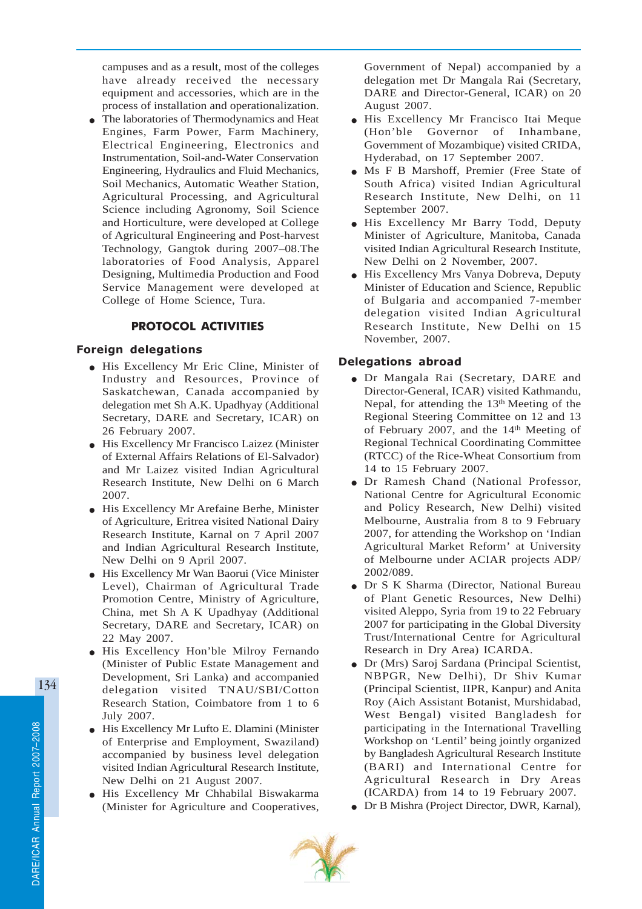campuses and as a result, most of the colleges have already received the necessary equipment and accessories, which are in the process of installation and operationalization.

The laboratories of Thermodynamics and Heat Engines, Farm Power, Farm Machinery, Electrical Engineering, Electronics and Instrumentation, Soil-and-Water Conservation Engineering, Hydraulics and Fluid Mechanics, Soil Mechanics, Automatic Weather Station, Agricultural Processing, and Agricultural Science including Agronomy, Soil Science and Horticulture, were developed at College of Agricultural Engineering and Post-harvest Technology, Gangtok during 2007–08.The laboratories of Food Analysis, Apparel Designing, Multimedia Production and Food Service Management were developed at College of Home Science, Tura.

## PROTOCOL ACTIVITIES

#### Foreign delegations

- His Excellency Mr Eric Cline, Minister of Industry and Resources, Province of Saskatchewan, Canada accompanied by delegation met Sh A.K. Upadhyay (Additional Secretary, DARE and Secretary, ICAR) on 26 February 2007.
- His Excellency Mr Francisco Laizez (Minister of External Affairs Relations of El-Salvador) and Mr Laizez visited Indian Agricultural Research Institute, New Delhi on 6 March 2007.
- His Excellency Mr Arefaine Berhe, Minister of Agriculture, Eritrea visited National Dairy Research Institute, Karnal on 7 April 2007 and Indian Agricultural Research Institute, New Delhi on 9 April 2007.
- His Excellency Mr Wan Baorui (Vice Minister Level), Chairman of Agricultural Trade Promotion Centre, Ministry of Agriculture, China, met Sh A K Upadhyay (Additional Secretary, DARE and Secretary, ICAR) on 22 May 2007.
- His Excellency Hon'ble Milroy Fernando (Minister of Public Estate Management and Development, Sri Lanka) and accompanied delegation visited TNAU/SBI/Cotton Research Station, Coimbatore from 1 to 6 July 2007.
- His Excellency Mr Lufto E. Dlamini (Minister of Enterprise and Employment, Swaziland) accompanied by business level delegation visited Indian Agricultural Research Institute, New Delhi on 21 August 2007.
- His Excellency Mr Chhabilal Biswakarma (Minister for Agriculture and Cooperatives,

Government of Nepal) accompanied by a delegation met Dr Mangala Rai (Secretary, DARE and Director-General, ICAR) on 20 August 2007.

- His Excellency Mr Francisco Itai Meque (Hon'ble Governor of Inhambane, Government of Mozambique) visited CRIDA, Hyderabad, on 17 September 2007.
- Ms F B Marshoff, Premier (Free State of South Africa) visited Indian Agricultural Research Institute, New Delhi, on 11 September 2007.
- His Excellency Mr Barry Todd, Deputy Minister of Agriculture, Manitoba, Canada visited Indian Agricultural Research Institute, New Delhi on 2 November, 2007.
- His Excellency Mrs Vanya Dobreva, Deputy Minister of Education and Science, Republic of Bulgaria and accompanied 7-member delegation visited Indian Agricultural Research Institute, New Delhi on 15 November, 2007.

### Delegations abroad

- Dr Mangala Rai (Secretary, DARE and Director-General, ICAR) visited Kathmandu, Nepal, for attending the 13<sup>th</sup> Meeting of the Regional Steering Committee on 12 and 13 of February 2007, and the 14<sup>th</sup> Meeting of Regional Technical Coordinating Committee (RTCC) of the Rice-Wheat Consortium from 14 to 15 February 2007.
- Dr Ramesh Chand (National Professor, National Centre for Agricultural Economic and Policy Research, New Delhi) visited Melbourne, Australia from 8 to 9 February 2007, for attending the Workshop on 'Indian Agricultural Market Reform' at University of Melbourne under ACIAR projects ADP/ 2002/089.
- Dr S K Sharma (Director, National Bureau of Plant Genetic Resources, New Delhi) visited Aleppo, Syria from 19 to 22 February 2007 for participating in the Global Diversity Trust/International Centre for Agricultural Research in Dry Area) ICARDA.
- Dr (Mrs) Saroj Sardana (Principal Scientist, NBPGR, New Delhi), Dr Shiv Kumar (Principal Scientist, IIPR, Kanpur) and Anita Roy (Aich Assistant Botanist, Murshidabad, West Bengal) visited Bangladesh for participating in the International Travelling Workshop on 'Lentil' being jointly organized by Bangladesh Agricultural Research Institute (BARI) and International Centre for Agricultural Research in Dry Areas (ICARDA) from 14 to 19 February 2007.
- Dr B Mishra (Project Director, DWR, Karnal),

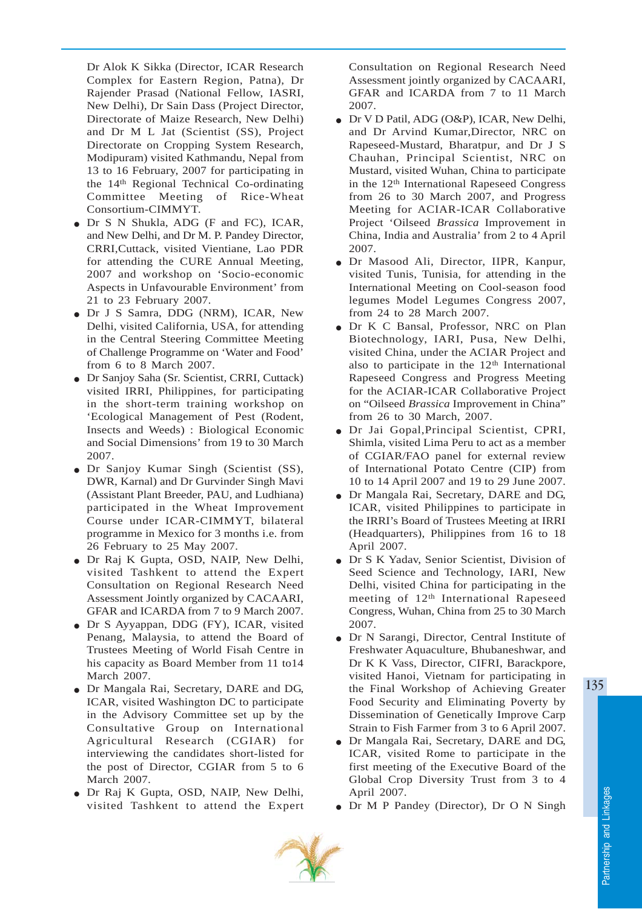Dr Alok K Sikka (Director, ICAR Research Complex for Eastern Region, Patna), Dr Rajender Prasad (National Fellow, IASRI, New Delhi), Dr Sain Dass (Project Director, Directorate of Maize Research, New Delhi) and Dr M L Jat (Scientist (SS), Project Directorate on Cropping System Research, Modipuram) visited Kathmandu, Nepal from 13 to 16 February, 2007 for participating in the 14th Regional Technical Co-ordinating Committee Meeting of Rice-Wheat Consortium-CIMMYT.

- Dr S N Shukla, ADG (F and FC), ICAR, and New Delhi, and Dr M. P. Pandey Director, CRRI,Cuttack, visited Vientiane, Lao PDR for attending the CURE Annual Meeting, 2007 and workshop on 'Socio-economic Aspects in Unfavourable Environment' from 21 to 23 February 2007.
- Dr J S Samra, DDG (NRM), ICAR, New Delhi, visited California, USA, for attending in the Central Steering Committee Meeting of Challenge Programme on 'Water and Food' from 6 to 8 March 2007.
- Dr Sanjoy Saha (Sr. Scientist, CRRI, Cuttack) visited IRRI, Philippines, for participating in the short-term training workshop on 'Ecological Management of Pest (Rodent, Insects and Weeds) : Biological Economic and Social Dimensions' from 19 to 30 March 2007.
- Dr Sanjoy Kumar Singh (Scientist (SS), DWR, Karnal) and Dr Gurvinder Singh Mavi (Assistant Plant Breeder, PAU, and Ludhiana) participated in the Wheat Improvement Course under ICAR-CIMMYT, bilateral programme in Mexico for 3 months i.e. from 26 February to 25 May 2007.
- Dr Raj K Gupta, OSD, NAIP, New Delhi, visited Tashkent to attend the Expert Consultation on Regional Research Need Assessment Jointly organized by CACAARI, GFAR and ICARDA from 7 to 9 March 2007.
- Dr S Ayyappan, DDG (FY), ICAR, visited Penang, Malaysia, to attend the Board of Trustees Meeting of World Fisah Centre in his capacity as Board Member from 11 to14 March 2007.
- Dr Mangala Rai, Secretary, DARE and DG, ICAR, visited Washington DC to participate in the Advisory Committee set up by the Consultative Group on International Agricultural Research (CGIAR) for interviewing the candidates short-listed for the post of Director, CGIAR from 5 to 6 March 2007.
- Dr Raj K Gupta, OSD, NAIP, New Delhi, visited Tashkent to attend the Expert

Consultation on Regional Research Need Assessment jointly organized by CACAARI, GFAR and ICARDA from 7 to 11 March 2007.

- Dr V D Patil, ADG (O&P), ICAR, New Delhi, and Dr Arvind Kumar,Director, NRC on Rapeseed-Mustard, Bharatpur, and Dr J S Chauhan, Principal Scientist, NRC on Mustard, visited Wuhan, China to participate in the 12th International Rapeseed Congress from 26 to 30 March 2007, and Progress Meeting for ACIAR-ICAR Collaborative Project 'Oilseed *Brassica* Improvement in China, India and Australia' from 2 to 4 April 2007.
- Dr Masood Ali, Director, IIPR, Kanpur, visited Tunis, Tunisia, for attending in the International Meeting on Cool-season food legumes Model Legumes Congress 2007, from 24 to 28 March 2007.
- Dr K C Bansal, Professor, NRC on Plan Biotechnology, IARI, Pusa, New Delhi, visited China, under the ACIAR Project and also to participate in the  $12<sup>th</sup>$  International Rapeseed Congress and Progress Meeting for the ACIAR-ICAR Collaborative Project on "Oilseed *Brassica* Improvement in China" from 26 to 30 March, 2007.
- Dr Jai Gopal,Principal Scientist, CPRI, Shimla, visited Lima Peru to act as a member of CGIAR/FAO panel for external review of International Potato Centre (CIP) from 10 to 14 April 2007 and 19 to 29 June 2007.
- Dr Mangala Rai, Secretary, DARE and DG, ICAR, visited Philippines to participate in the IRRI's Board of Trustees Meeting at IRRI (Headquarters), Philippines from 16 to 18 April 2007.
- Dr S K Yadav, Senior Scientist, Division of Seed Science and Technology, IARI, New Delhi, visited China for participating in the meeting of 12<sup>th</sup> International Rapeseed Congress, Wuhan, China from 25 to 30 March 2007.
- Dr N Sarangi, Director, Central Institute of Freshwater Aquaculture, Bhubaneshwar, and Dr K K Vass, Director, CIFRI, Barackpore, visited Hanoi, Vietnam for participating in the Final Workshop of Achieving Greater Food Security and Eliminating Poverty by Dissemination of Genetically Improve Carp Strain to Fish Farmer from 3 to 6 April 2007.
- Dr Mangala Rai, Secretary, DARE and DG, ICAR, visited Rome to participate in the first meeting of the Executive Board of the Global Crop Diversity Trust from 3 to 4 April 2007.
- Dr M P Pandey (Director), Dr O N Singh

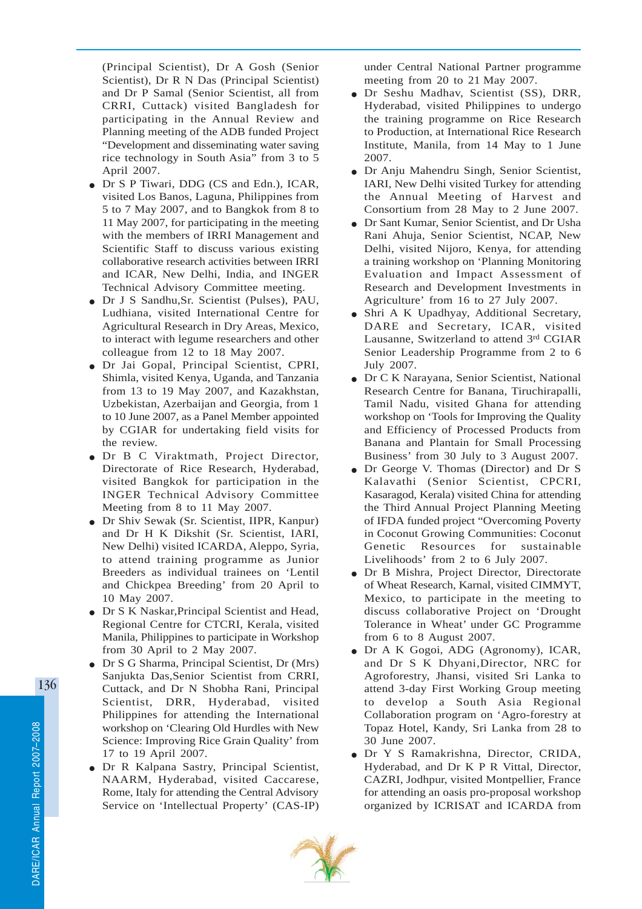(Principal Scientist), Dr A Gosh (Senior Scientist), Dr R N Das (Principal Scientist) and Dr P Samal (Senior Scientist, all from CRRI, Cuttack) visited Bangladesh for participating in the Annual Review and Planning meeting of the ADB funded Project "Development and disseminating water saving rice technology in South Asia" from 3 to 5 April 2007.

- Dr S P Tiwari, DDG (CS and Edn.), ICAR, visited Los Banos, Laguna, Philippines from 5 to 7 May 2007, and to Bangkok from 8 to 11 May 2007, for participating in the meeting with the members of IRRI Management and Scientific Staff to discuss various existing collaborative research activities between IRRI and ICAR, New Delhi, India, and INGER Technical Advisory Committee meeting.
- Dr J S Sandhu,Sr. Scientist (Pulses), PAU, Ludhiana, visited International Centre for Agricultural Research in Dry Areas, Mexico, to interact with legume researchers and other colleague from 12 to 18 May 2007.
- Dr Jai Gopal, Principal Scientist, CPRI, Shimla, visited Kenya, Uganda, and Tanzania from 13 to 19 May 2007, and Kazakhstan, Uzbekistan, Azerbaijan and Georgia, from 1 to 10 June 2007, as a Panel Member appointed by CGIAR for undertaking field visits for the review.
- Dr B C Viraktmath, Project Director, Directorate of Rice Research, Hyderabad, visited Bangkok for participation in the INGER Technical Advisory Committee Meeting from 8 to 11 May 2007.
- Dr Shiv Sewak (Sr. Scientist, IIPR, Kanpur) and Dr H K Dikshit (Sr. Scientist, IARI, New Delhi) visited ICARDA, Aleppo, Syria, to attend training programme as Junior Breeders as individual trainees on 'Lentil and Chickpea Breeding' from 20 April to 10 May 2007.
- Dr S K Naskar,Principal Scientist and Head, Regional Centre for CTCRI, Kerala, visited Manila, Philippines to participate in Workshop from 30 April to 2 May 2007.
- Dr S G Sharma, Principal Scientist, Dr (Mrs) Sanjukta Das,Senior Scientist from CRRI, Cuttack, and Dr N Shobha Rani, Principal Scientist, DRR, Hyderabad, visited Philippines for attending the International workshop on 'Clearing Old Hurdles with New Science: Improving Rice Grain Quality' from 17 to 19 April 2007.
- Dr R Kalpana Sastry, Principal Scientist, NAARM, Hyderabad, visited Caccarese, Rome, Italy for attending the Central Advisory Service on 'Intellectual Property' (CAS-IP)

under Central National Partner programme meeting from 20 to 21 May 2007.

- Dr Seshu Madhav, Scientist (SS), DRR, Hyderabad, visited Philippines to undergo the training programme on Rice Research to Production, at International Rice Research Institute, Manila, from 14 May to 1 June 2007.
- Dr Anju Mahendru Singh, Senior Scientist, IARI, New Delhi visited Turkey for attending the Annual Meeting of Harvest and Consortium from 28 May to 2 June 2007.
- Dr Sant Kumar, Senior Scientist, and Dr Usha Rani Ahuja, Senior Scientist, NCAP, New Delhi, visited Nijoro, Kenya, for attending a training workshop on 'Planning Monitoring Evaluation and Impact Assessment of Research and Development Investments in Agriculture' from 16 to 27 July 2007.
- Shri A K Upadhyay, Additional Secretary, DARE and Secretary, ICAR, visited Lausanne, Switzerland to attend 3rd CGIAR Senior Leadership Programme from 2 to 6 July 2007.
- Dr C K Narayana, Senior Scientist, National Research Centre for Banana, Tiruchirapalli, Tamil Nadu, visited Ghana for attending workshop on 'Tools for Improving the Quality and Efficiency of Processed Products from Banana and Plantain for Small Processing Business' from 30 July to 3 August 2007.
- Dr George V. Thomas (Director) and Dr S Kalavathi (Senior Scientist, CPCRI, Kasaragod, Kerala) visited China for attending the Third Annual Project Planning Meeting of IFDA funded project "Overcoming Poverty in Coconut Growing Communities: Coconut Genetic Resources for sustainable Livelihoods' from 2 to 6 July 2007.
- Dr B Mishra, Project Director, Directorate of Wheat Research, Karnal, visited CIMMYT, Mexico, to participate in the meeting to discuss collaborative Project on 'Drought Tolerance in Wheat' under GC Programme from 6 to 8 August 2007.
- Dr A K Gogoi, ADG (Agronomy), ICAR, and Dr S K Dhyani,Director, NRC for Agroforestry, Jhansi, visited Sri Lanka to attend 3-day First Working Group meeting to develop a South Asia Regional Collaboration program on 'Agro-forestry at Topaz Hotel, Kandy, Sri Lanka from 28 to 30 June 2007.
- Dr Y S Ramakrishna, Director, CRIDA, Hyderabad, and Dr K P R Vittal, Director, CAZRI, Jodhpur, visited Montpellier, France for attending an oasis pro-proposal workshop organized by ICRISAT and ICARDA from

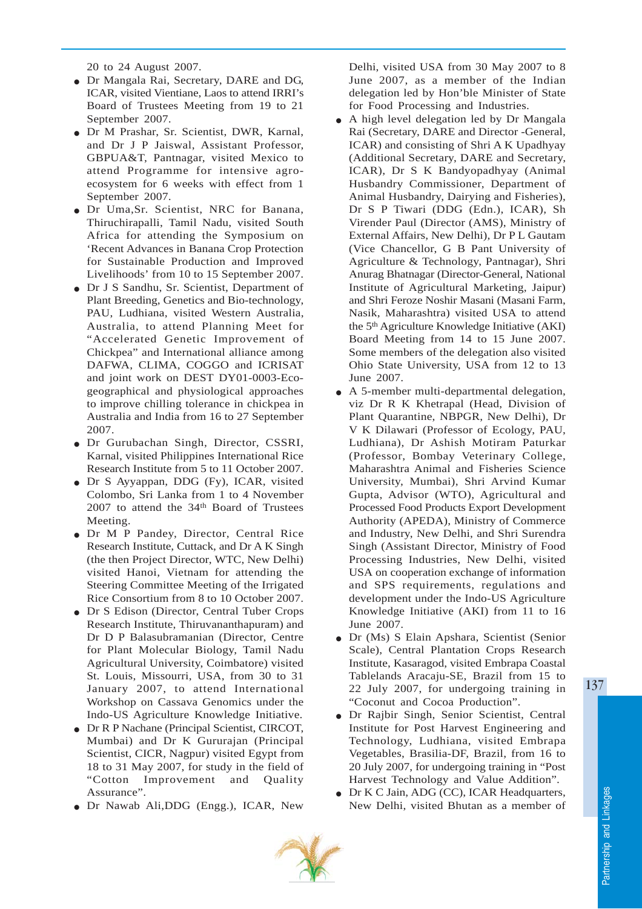20 to 24 August 2007.

- Dr Mangala Rai, Secretary, DARE and DG, ICAR, visited Vientiane, Laos to attend IRRI's Board of Trustees Meeting from 19 to 21 September 2007.
- Dr M Prashar, Sr. Scientist, DWR, Karnal, and Dr J P Jaiswal, Assistant Professor, GBPUA&T, Pantnagar, visited Mexico to attend Programme for intensive agroecosystem for 6 weeks with effect from 1 September 2007.
- Dr Uma,Sr. Scientist, NRC for Banana, Thiruchirapalli, Tamil Nadu, visited South Africa for attending the Symposium on 'Recent Advances in Banana Crop Protection for Sustainable Production and Improved Livelihoods' from 10 to 15 September 2007.
- Dr J S Sandhu, Sr. Scientist, Department of Plant Breeding, Genetics and Bio-technology, PAU, Ludhiana, visited Western Australia, Australia, to attend Planning Meet for "Accelerated Genetic Improvement of Chickpea" and International alliance among DAFWA, CLIMA, COGGO and ICRISAT and joint work on DEST DY01-0003-Ecogeographical and physiological approaches to improve chilling tolerance in chickpea in Australia and India from 16 to 27 September 2007.
- Dr Gurubachan Singh, Director, CSSRI, Karnal, visited Philippines International Rice Research Institute from 5 to 11 October 2007.
- Dr S Ayyappan, DDG (Fy), ICAR, visited Colombo, Sri Lanka from 1 to 4 November 2007 to attend the 34<sup>th</sup> Board of Trustees Meeting.
- Dr M P Pandey, Director, Central Rice Research Institute, Cuttack, and Dr A K Singh (the then Project Director, WTC, New Delhi) visited Hanoi, Vietnam for attending the Steering Committee Meeting of the Irrigated Rice Consortium from 8 to 10 October 2007.
- Dr S Edison (Director, Central Tuber Crops Research Institute, Thiruvananthapuram) and Dr D P Balasubramanian (Director, Centre for Plant Molecular Biology, Tamil Nadu Agricultural University, Coimbatore) visited St. Louis, Missourri, USA, from 30 to 31 January 2007, to attend International Workshop on Cassava Genomics under the Indo-US Agriculture Knowledge Initiative.
- Dr R P Nachane (Principal Scientist, CIRCOT, Mumbai) and Dr K Gururajan (Principal Scientist, CICR, Nagpur) visited Egypt from 18 to 31 May 2007, for study in the field of "Cotton Improvement and Quality Assurance".
- Dr Nawab Ali,DDG (Engg.), ICAR, New

Delhi, visited USA from 30 May 2007 to 8 June 2007, as a member of the Indian delegation led by Hon'ble Minister of State for Food Processing and Industries.

- A high level delegation led by Dr Mangala Rai (Secretary, DARE and Director -General, ICAR) and consisting of Shri A K Upadhyay (Additional Secretary, DARE and Secretary, ICAR), Dr S K Bandyopadhyay (Animal Husbandry Commissioner, Department of Animal Husbandry, Dairying and Fisheries), Dr S P Tiwari (DDG (Edn.), ICAR), Sh Virender Paul (Director (AMS), Ministry of External Affairs, New Delhi), Dr P L Gautam (Vice Chancellor, G B Pant University of Agriculture & Technology, Pantnagar), Shri Anurag Bhatnagar (Director-General, National Institute of Agricultural Marketing, Jaipur) and Shri Feroze Noshir Masani (Masani Farm, Nasik, Maharashtra) visited USA to attend the 5th Agriculture Knowledge Initiative (AKI) Board Meeting from 14 to 15 June 2007. Some members of the delegation also visited Ohio State University, USA from 12 to 13 June 2007.
- A 5-member multi-departmental delegation, viz Dr R K Khetrapal (Head, Division of Plant Quarantine, NBPGR, New Delhi), Dr V K Dilawari (Professor of Ecology, PAU, Ludhiana), Dr Ashish Motiram Paturkar (Professor, Bombay Veterinary College, Maharashtra Animal and Fisheries Science University, Mumbai), Shri Arvind Kumar Gupta, Advisor (WTO), Agricultural and Processed Food Products Export Development Authority (APEDA), Ministry of Commerce and Industry, New Delhi, and Shri Surendra Singh (Assistant Director, Ministry of Food Processing Industries, New Delhi, visited USA on cooperation exchange of information and SPS requirements, regulations and development under the Indo-US Agriculture Knowledge Initiative (AKI) from 11 to 16 June 2007.
- Dr (Ms) S Elain Apshara, Scientist (Senior Scale), Central Plantation Crops Research Institute, Kasaragod, visited Embrapa Coastal Tablelands Aracaju-SE, Brazil from 15 to 22 July 2007, for undergoing training in "Coconut and Cocoa Production".
- Dr Rajbir Singh, Senior Scientist, Central Institute for Post Harvest Engineering and Technology, Ludhiana, visited Embrapa Vegetables, Brasilia-DF, Brazil, from 16 to 20 July 2007, for undergoing training in "Post Harvest Technology and Value Addition".
- Dr K C Jain, ADG (CC), ICAR Headquarters, New Delhi, visited Bhutan as a member of

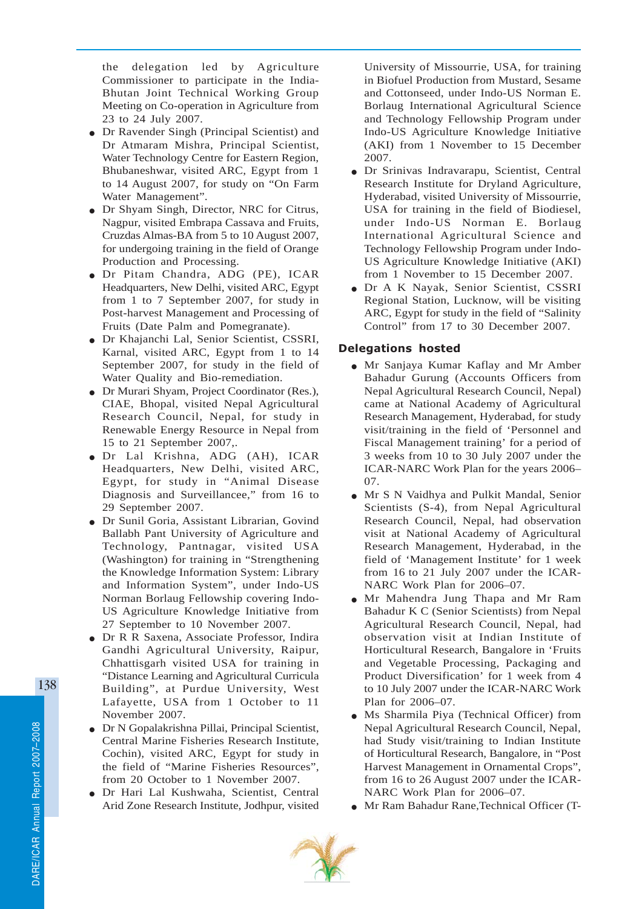the delegation led by Agriculture Commissioner to participate in the India-Bhutan Joint Technical Working Group Meeting on Co-operation in Agriculture from 23 to 24 July 2007.

- Dr Ravender Singh (Principal Scientist) and Dr Atmaram Mishra, Principal Scientist, Water Technology Centre for Eastern Region, Bhubaneshwar, visited ARC, Egypt from 1 to 14 August 2007, for study on "On Farm Water Management".
- Dr Shyam Singh, Director, NRC for Citrus, Nagpur, visited Embrapa Cassava and Fruits, Cruzdas Almas-BA from 5 to 10 August 2007, for undergoing training in the field of Orange Production and Processing.
- Dr Pitam Chandra, ADG (PE), ICAR Headquarters, New Delhi, visited ARC, Egypt from 1 to 7 September 2007, for study in Post-harvest Management and Processing of Fruits (Date Palm and Pomegranate).
- Dr Khajanchi Lal, Senior Scientist, CSSRI, Karnal, visited ARC, Egypt from 1 to 14 September 2007, for study in the field of Water Quality and Bio-remediation.
- Dr Murari Shyam, Project Coordinator (Res.), CIAE, Bhopal, visited Nepal Agricultural Research Council, Nepal, for study in Renewable Energy Resource in Nepal from 15 to 21 September 2007,.
- Dr Lal Krishna, ADG (AH), ICAR Headquarters, New Delhi, visited ARC, Egypt, for study in "Animal Disease Diagnosis and Surveillancee," from 16 to 29 September 2007.
- Dr Sunil Goria, Assistant Librarian, Govind Ballabh Pant University of Agriculture and Technology, Pantnagar, visited USA (Washington) for training in "Strengthening the Knowledge Information System: Library and Information System", under Indo-US Norman Borlaug Fellowship covering Indo-US Agriculture Knowledge Initiative from 27 September to 10 November 2007.
- Dr R R Saxena, Associate Professor, Indira Gandhi Agricultural University, Raipur, Chhattisgarh visited USA for training in "Distance Learning and Agricultural Curricula Building", at Purdue University, West Lafayette, USA from 1 October to 11 November 2007.
- Dr N Gopalakrishna Pillai, Principal Scientist, Central Marine Fisheries Research Institute, Cochin), visited ARC, Egypt for study in the field of "Marine Fisheries Resources", from 20 October to 1 November 2007.
- Dr Hari Lal Kushwaha, Scientist, Central Arid Zone Research Institute, Jodhpur, visited

University of Missourrie, USA, for training in Biofuel Production from Mustard, Sesame and Cottonseed, under Indo-US Norman E. Borlaug International Agricultural Science and Technology Fellowship Program under Indo-US Agriculture Knowledge Initiative (AKI) from 1 November to 15 December 2007.

- Dr Srinivas Indravarapu, Scientist, Central Research Institute for Dryland Agriculture, Hyderabad, visited University of Missourrie, USA for training in the field of Biodiesel, under Indo-US Norman E. Borlaug International Agricultural Science and Technology Fellowship Program under Indo-US Agriculture Knowledge Initiative (AKI) from 1 November to 15 December 2007.
- Dr A K Nayak, Senior Scientist, CSSRI Regional Station, Lucknow, will be visiting ARC, Egypt for study in the field of "Salinity Control" from 17 to 30 December 2007.

### Delegations hosted

- Mr Sanjaya Kumar Kaflay and Mr Amber Bahadur Gurung (Accounts Officers from Nepal Agricultural Research Council, Nepal) came at National Academy of Agricultural Research Management, Hyderabad, for study visit/training in the field of 'Personnel and Fiscal Management training' for a period of 3 weeks from 10 to 30 July 2007 under the ICAR-NARC Work Plan for the years 2006– 07.
- Mr S N Vaidhya and Pulkit Mandal, Senior Scientists (S-4), from Nepal Agricultural Research Council, Nepal, had observation visit at National Academy of Agricultural Research Management, Hyderabad, in the field of 'Management Institute' for 1 week from 16 to 21 July 2007 under the ICAR-NARC Work Plan for 2006–07.
- Mr Mahendra Jung Thapa and Mr Ram Bahadur K C (Senior Scientists) from Nepal Agricultural Research Council, Nepal, had observation visit at Indian Institute of Horticultural Research, Bangalore in 'Fruits and Vegetable Processing, Packaging and Product Diversification' for 1 week from 4 to 10 July 2007 under the ICAR-NARC Work Plan for 2006–07.
- Ms Sharmila Piya (Technical Officer) from Nepal Agricultural Research Council, Nepal, had Study visit/training to Indian Institute of Horticultural Research, Bangalore, in "Post Harvest Management in Ornamental Crops", from 16 to 26 August 2007 under the ICAR-NARC Work Plan for 2006–07.
- Mr Ram Bahadur Rane,Technical Officer (T-

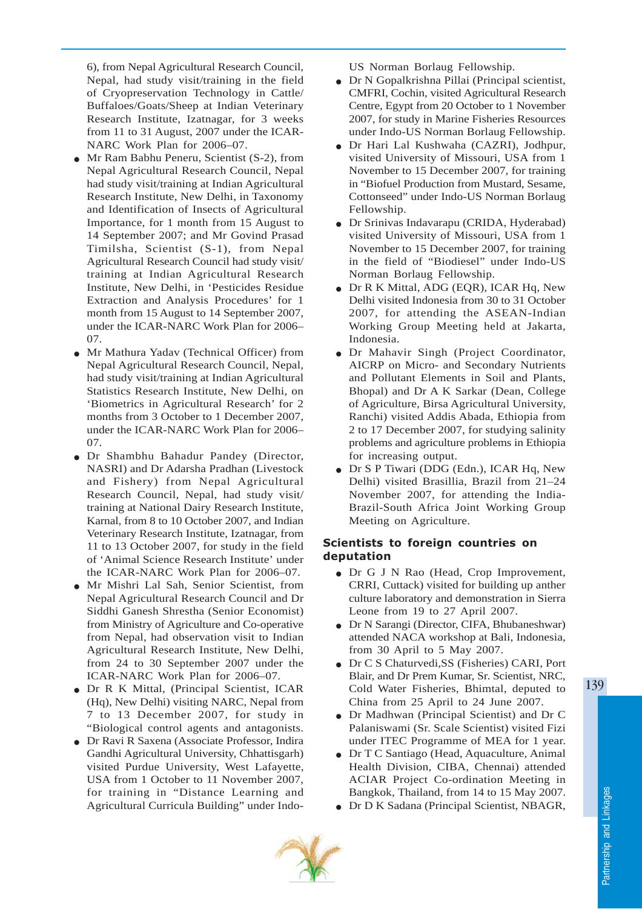6), from Nepal Agricultural Research Council, Nepal, had study visit/training in the field of Cryopreservation Technology in Cattle/ Buffaloes/Goats/Sheep at Indian Veterinary Research Institute, Izatnagar, for 3 weeks from 11 to 31 August, 2007 under the ICAR-NARC Work Plan for 2006–07.

- Mr Ram Babhu Peneru, Scientist (S-2), from Nepal Agricultural Research Council, Nepal had study visit/training at Indian Agricultural Research Institute, New Delhi, in Taxonomy and Identification of Insects of Agricultural Importance, for 1 month from 15 August to 14 September 2007; and Mr Govind Prasad Timilsha, Scientist (S-1), from Nepal Agricultural Research Council had study visit/ training at Indian Agricultural Research Institute, New Delhi, in 'Pesticides Residue Extraction and Analysis Procedures' for 1 month from 15 August to 14 September 2007, under the ICAR-NARC Work Plan for 2006– 07.
- Mr Mathura Yadav (Technical Officer) from Nepal Agricultural Research Council, Nepal, had study visit/training at Indian Agricultural Statistics Research Institute, New Delhi, on 'Biometrics in Agricultural Research' for 2 months from 3 October to 1 December 2007, under the ICAR-NARC Work Plan for 2006– 07.
- Dr Shambhu Bahadur Pandey (Director, NASRI) and Dr Adarsha Pradhan (Livestock and Fishery) from Nepal Agricultural Research Council, Nepal, had study visit/ training at National Dairy Research Institute, Karnal, from 8 to 10 October 2007, and Indian Veterinary Research Institute, Izatnagar, from 11 to 13 October 2007, for study in the field of 'Animal Science Research Institute' under the ICAR-NARC Work Plan for 2006–07.
- Mr Mishri Lal Sah, Senior Scientist, from Nepal Agricultural Research Council and Dr Siddhi Ganesh Shrestha (Senior Economist) from Ministry of Agriculture and Co-operative from Nepal, had observation visit to Indian Agricultural Research Institute, New Delhi, from 24 to 30 September 2007 under the ICAR-NARC Work Plan for 2006–07.
- Dr R K Mittal, (Principal Scientist, ICAR (Hq), New Delhi) visiting NARC, Nepal from 7 to 13 December 2007, for study in "Biological control agents and antagonists.
- Dr Ravi R Saxena (Associate Professor, Indira Gandhi Agricultural University, Chhattisgarh) visited Purdue University, West Lafayette, USA from 1 October to 11 November 2007, for training in "Distance Learning and Agricultural Curricula Building" under Indo-

US Norman Borlaug Fellowship.

- Dr N Gopalkrishna Pillai (Principal scientist, CMFRI, Cochin, visited Agricultural Research Centre, Egypt from 20 October to 1 November 2007, for study in Marine Fisheries Resources under Indo-US Norman Borlaug Fellowship.
- Dr Hari Lal Kushwaha (CAZRI), Jodhpur, visited University of Missouri, USA from 1 November to 15 December 2007, for training in "Biofuel Production from Mustard, Sesame, Cottonseed" under Indo-US Norman Borlaug Fellowship.
- Dr Srinivas Indavarapu (CRIDA, Hyderabad) visited University of Missouri, USA from 1 November to 15 December 2007, for training in the field of "Biodiesel" under Indo-US Norman Borlaug Fellowship.
- Dr R K Mittal, ADG (EQR), ICAR Hq, New Delhi visited Indonesia from 30 to 31 October 2007, for attending the ASEAN-Indian Working Group Meeting held at Jakarta, Indonesia.
- Dr Mahavir Singh (Project Coordinator, AICRP on Micro- and Secondary Nutrients and Pollutant Elements in Soil and Plants, Bhopal) and Dr A K Sarkar (Dean, College of Agriculture, Birsa Agricultural University, Ranchi) visited Addis Abada, Ethiopia from 2 to 17 December 2007, for studying salinity problems and agriculture problems in Ethiopia for increasing output.
- Dr S P Tiwari (DDG (Edn.), ICAR Hq, New Delhi) visited Brasillia, Brazil from 21–24 November 2007, for attending the India-Brazil-South Africa Joint Working Group Meeting on Agriculture.

#### Scientists to foreign countries on deputation

- Dr G J N Rao (Head, Crop Improvement, CRRI, Cuttack) visited for building up anther culture laboratory and demonstration in Sierra Leone from 19 to 27 April 2007.
- Dr N Sarangi (Director, CIFA, Bhubaneshwar) attended NACA workshop at Bali, Indonesia, from 30 April to 5 May 2007.
- Dr C S Chaturvedi,SS (Fisheries) CARI, Port Blair, and Dr Prem Kumar, Sr. Scientist, NRC, Cold Water Fisheries, Bhimtal, deputed to China from 25 April to 24 June 2007.
- Dr Madhwan (Principal Scientist) and Dr C Palaniswami (Sr. Scale Scientist) visited Fizi under ITEC Programme of MEA for 1 year.
- Dr T C Santiago (Head, Aquaculture, Animal Health Division, CIBA, Chennai) attended ACIAR Project Co-ordination Meeting in Bangkok, Thailand, from 14 to 15 May 2007.
- Dr D K Sadana (Principal Scientist, NBAGR,

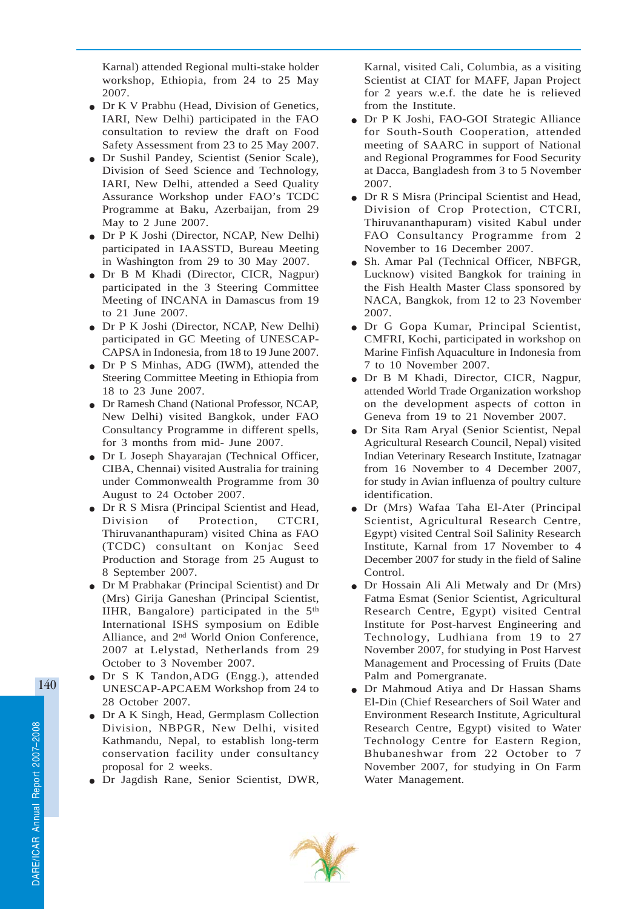Karnal) attended Regional multi-stake holder workshop, Ethiopia, from 24 to 25 May 2007.

- Dr K V Prabhu (Head, Division of Genetics, IARI, New Delhi) participated in the FAO consultation to review the draft on Food Safety Assessment from 23 to 25 May 2007.
- Dr Sushil Pandey, Scientist (Senior Scale), Division of Seed Science and Technology, IARI, New Delhi, attended a Seed Quality Assurance Workshop under FAO's TCDC Programme at Baku, Azerbaijan, from 29 May to 2 June 2007.
- Dr P K Joshi (Director, NCAP, New Delhi) participated in IAASSTD, Bureau Meeting in Washington from 29 to 30 May 2007.
- Dr B M Khadi (Director, CICR, Nagpur) participated in the 3 Steering Committee Meeting of INCANA in Damascus from 19 to 21 June 2007.
- Dr P K Joshi (Director, NCAP, New Delhi) participated in GC Meeting of UNESCAP-CAPSA in Indonesia, from 18 to 19 June 2007.
- Dr P S Minhas, ADG (IWM), attended the Steering Committee Meeting in Ethiopia from 18 to 23 June 2007.
- Dr Ramesh Chand (National Professor, NCAP, New Delhi) visited Bangkok, under FAO Consultancy Programme in different spells, for 3 months from mid- June 2007.
- Dr L Joseph Shayarajan (Technical Officer, CIBA, Chennai) visited Australia for training under Commonwealth Programme from 30 August to 24 October 2007.
- Dr R S Misra (Principal Scientist and Head, Division of Protection, CTCRI, Thiruvananthapuram) visited China as FAO (TCDC) consultant on Konjac Seed Production and Storage from 25 August to 8 September 2007.
- Dr M Prabhakar (Principal Scientist) and Dr (Mrs) Girija Ganeshan (Principal Scientist, IIHR, Bangalore) participated in the 5th International ISHS symposium on Edible Alliance, and 2nd World Onion Conference, 2007 at Lelystad, Netherlands from 29 October to 3 November 2007.
- Dr S K Tandon,ADG (Engg.), attended UNESCAP-APCAEM Workshop from 24 to 28 October 2007.
- Dr A K Singh, Head, Germplasm Collection Division, NBPGR, New Delhi, visited Kathmandu, Nepal, to establish long-term conservation facility under consultancy proposal for 2 weeks.
- Dr Jagdish Rane, Senior Scientist, DWR,

Karnal, visited Cali, Columbia, as a visiting Scientist at CIAT for MAFF, Japan Project for 2 years w.e.f. the date he is relieved from the Institute.

- Dr P K Joshi, FAO-GOI Strategic Alliance for South-South Cooperation, attended meeting of SAARC in support of National and Regional Programmes for Food Security at Dacca, Bangladesh from 3 to 5 November 2007.
- Dr R S Misra (Principal Scientist and Head, Division of Crop Protection, CTCRI, Thiruvananthapuram) visited Kabul under FAO Consultancy Programme from 2 November to 16 December 2007.
- Sh. Amar Pal (Technical Officer, NBFGR, Lucknow) visited Bangkok for training in the Fish Health Master Class sponsored by NACA, Bangkok, from 12 to 23 November 2007.
- Dr G Gopa Kumar, Principal Scientist, CMFRI, Kochi, participated in workshop on Marine Finfish Aquaculture in Indonesia from 7 to 10 November 2007.
- Dr B M Khadi, Director, CICR, Nagpur, attended World Trade Organization workshop on the development aspects of cotton in Geneva from 19 to 21 November 2007.
- Dr Sita Ram Aryal (Senior Scientist, Nepal Agricultural Research Council, Nepal) visited Indian Veterinary Research Institute, Izatnagar from 16 November to 4 December 2007, for study in Avian influenza of poultry culture identification.
- Dr (Mrs) Wafaa Taha El-Ater (Principal Scientist, Agricultural Research Centre, Egypt) visited Central Soil Salinity Research Institute, Karnal from 17 November to 4 December 2007 for study in the field of Saline Control.
- Dr Hossain Ali Ali Metwaly and Dr (Mrs) Fatma Esmat (Senior Scientist, Agricultural Research Centre, Egypt) visited Central Institute for Post-harvest Engineering and Technology, Ludhiana from 19 to 27 November 2007, for studying in Post Harvest Management and Processing of Fruits (Date Palm and Pomergranate.
- Dr Mahmoud Atiya and Dr Hassan Shams El-Din (Chief Researchers of Soil Water and Environment Research Institute, Agricultural Research Centre, Egypt) visited to Water Technology Centre for Eastern Region, Bhubaneshwar from 22 October to 7 November 2007, for studying in On Farm Water Management.

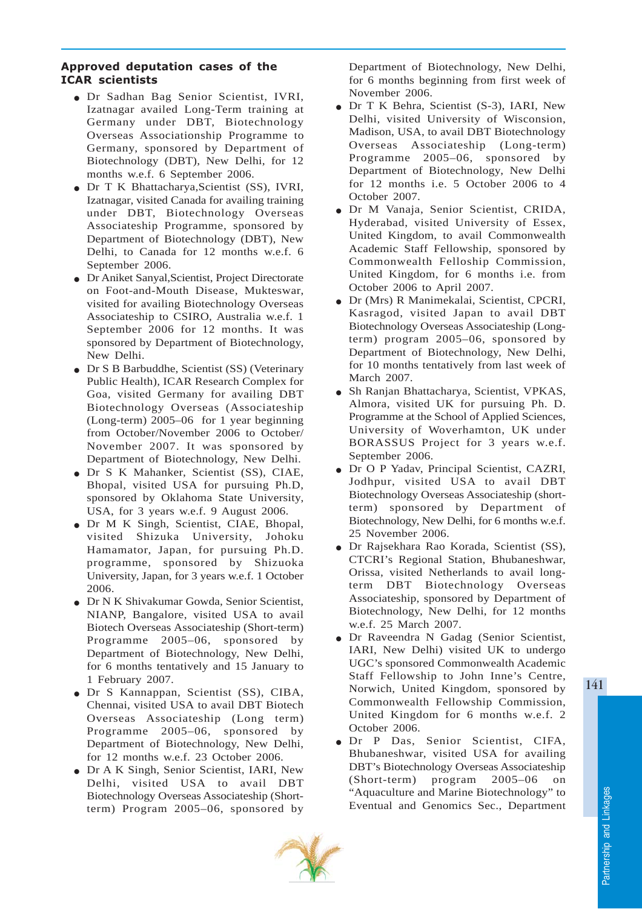#### Approved deputation cases of the ICAR scientists

- Dr Sadhan Bag Senior Scientist, IVRI, Izatnagar availed Long-Term training at Germany under DBT, Biotechnology Overseas Associationship Programme to Germany, sponsored by Department of Biotechnology (DBT), New Delhi, for 12 months w.e.f. 6 September 2006.
- Dr T K Bhattacharya,Scientist (SS), IVRI, Izatnagar, visited Canada for availing training under DBT, Biotechnology Overseas Associateship Programme, sponsored by Department of Biotechnology (DBT), New Delhi, to Canada for 12 months w.e.f. 6 September 2006.
- Dr Aniket Sanyal,Scientist, Project Directorate on Foot-and-Mouth Disease, Mukteswar, visited for availing Biotechnology Overseas Associateship to CSIRO, Australia w.e.f. 1 September 2006 for 12 months. It was sponsored by Department of Biotechnology, New Delhi.
- Dr S B Barbuddhe, Scientist (SS) (Veterinary Public Health), ICAR Research Complex for Goa, visited Germany for availing DBT Biotechnology Overseas (Associateship (Long-term) 2005–06 for 1 year beginning from October/November 2006 to October/ November 2007. It was sponsored by Department of Biotechnology, New Delhi.
- Dr S K Mahanker, Scientist (SS), CIAE, Bhopal, visited USA for pursuing Ph.D, sponsored by Oklahoma State University, USA, for 3 years w.e.f. 9 August 2006.
- Dr M K Singh, Scientist, CIAE, Bhopal, visited Shizuka University, Johoku Hamamator, Japan, for pursuing Ph.D. programme, sponsored by Shizuoka University, Japan, for 3 years w.e.f. 1 October 2006.
- Dr N K Shivakumar Gowda, Senior Scientist, NIANP, Bangalore, visited USA to avail Biotech Overseas Associateship (Short-term) Programme 2005–06, sponsored by Department of Biotechnology, New Delhi, for 6 months tentatively and 15 January to 1 February 2007.
- Dr S Kannappan, Scientist (SS), CIBA, Chennai, visited USA to avail DBT Biotech Overseas Associateship (Long term) Programme 2005–06, sponsored by Department of Biotechnology, New Delhi, for 12 months w.e.f. 23 October 2006.
- Dr A K Singh, Senior Scientist, IARI, New Delhi, visited USA to avail DBT Biotechnology Overseas Associateship (Shortterm) Program 2005–06, sponsored by

Department of Biotechnology, New Delhi, for 6 months beginning from first week of November 2006.

- Dr T K Behra, Scientist (S-3), IARI, New Delhi, visited University of Wisconsion, Madison, USA, to avail DBT Biotechnology Overseas Associateship (Long-term) Programme 2005–06, sponsored by Department of Biotechnology, New Delhi for 12 months i.e. 5 October 2006 to 4 October 2007.
- Dr M Vanaja, Senior Scientist, CRIDA, Hyderabad, visited University of Essex, United Kingdom, to avail Commonwealth Academic Staff Fellowship, sponsored by Commonwealth Felloship Commission, United Kingdom, for 6 months i.e. from October 2006 to April 2007.
- Dr (Mrs) R Manimekalai, Scientist, CPCRI, Kasragod, visited Japan to avail DBT Biotechnology Overseas Associateship (Longterm) program 2005–06, sponsored by Department of Biotechnology, New Delhi, for 10 months tentatively from last week of March 2007.
- Sh Ranjan Bhattacharya, Scientist, VPKAS, Almora, visited UK for pursuing Ph. D. Programme at the School of Applied Sciences, University of Woverhamton, UK under BORASSUS Project for 3 years w.e.f. September 2006.
- Dr O P Yadav, Principal Scientist, CAZRI, Jodhpur, visited USA to avail DBT Biotechnology Overseas Associateship (shortterm) sponsored by Department of Biotechnology, New Delhi, for 6 months w.e.f. 25 November 2006.
- Dr Rajsekhara Rao Korada, Scientist (SS), CTCRI's Regional Station, Bhubaneshwar, Orissa, visited Netherlands to avail longterm DBT Biotechnology Overseas Associateship, sponsored by Department of Biotechnology, New Delhi, for 12 months w.e.f. 25 March 2007.
- Dr Raveendra N Gadag (Senior Scientist, IARI, New Delhi) visited UK to undergo UGC's sponsored Commonwealth Academic Staff Fellowship to John Inne's Centre, Norwich, United Kingdom, sponsored by Commonwealth Fellowship Commission, United Kingdom for 6 months w.e.f. 2 October 2006.
- Dr P Das, Senior Scientist, CIFA, Bhubaneshwar, visited USA for availing DBT's Biotechnology Overseas Associateship (Short-term) program 2005–06 on "Aquaculture and Marine Biotechnology" to Eventual and Genomics Sec., Department